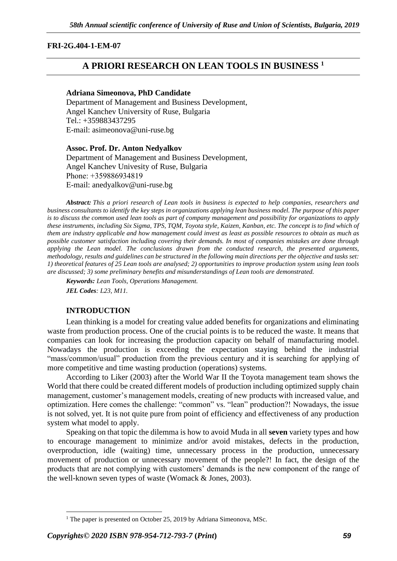## **FRI-2G.404-1-EM-07**

# **A PRIORI RESEARCH ON LEAN TOOLS IN BUSINESS <sup>1</sup>**

#### **Adriana Simeonova, PhD Candidate**

Department of Management and Business Development, Angel Kanchev University of Ruse, Bulgaria Tel.: +359883437295 E-mail: asimeonova@uni-ruse.bg

#### **Assoc. Prof. Dr. Anton Nedyalkov**

Department of Management and Business Development, Angel Kanchev Univesity of Ruse, Bulgaria Рhone: +359886934819 Е-mail: anedyalkov@uni-ruse.bg

*Abstract: This a priori research of Lean tools in business is expected to help companies, researchers and business consultants to identify the key steps in organizations applying lean business model. The purpose of this paper is to discuss the common used lean tools as part of company management and possibility for organizations to apply these instruments, including Six Sigma, TPS, TQM, Toyota style, Kaizen, Kanban, etc. The concept is to find which of them are industry applicable and how management could invest as least as possible resources to obtain as much as possible customer satisfaction including covering their demands. In most of companies mistakes are done through applying the Lean model. The conclusions drawn from the conducted research, the presented arguments, methodology, results and guidelines can be structured in the following main directions per the objective and tasks set: 1) theoretical features of 25 Lean tools are analysed; 2) opportunities to improve production system using lean tools are discussed; 3) some preliminary benefits and misunderstandings of Lean tools are demonstrated.*

*Keywords: Lean Tools, Operations Management. JEL Codes: L23, M11.*

#### **INTRODUCTION**

Lean thinking is a model for creating value added benefits for organizations and eliminating waste from production process. One of the crucial points is to be reduced the waste. It means that companies can look for increasing the production capacity on behalf of manufacturing model. Nowadays the production is exceeding the expectation staying behind the industrial "mass/common/usual" production from the previous century and it is searching for applying of more competitive and time wasting production (operations) systems.

According to Liker (2003) after the World War II the Toyota management team shows the World that there could be created different models of production including optimized supply chain management, customer's management models, creating of new products with increased value, and optimization. Here comes the challenge: "common" vs. "lean" production?! Nowadays, the issue is not solved, yet. It is not quite pure from point of efficiency and effectiveness of any production system what model to apply.

Speaking on that topic the dilemma is how to avoid Muda in all **seven** variety types and how to encourage management to minimize and/or avoid mistakes, defects in the production, overproduction, idle (waiting) time, unnecessary process in the production, unnecessary movement of production or unnecessary movement of the people?! In fact, the design of the products that are not complying with customers' demands is the new component of the range of the well-known seven types of waste (Womack & Jones, 2003).

<sup>&</sup>lt;sup>1</sup> The paper is presented on October 25, 2019 by Adriana Simeonova, MSc.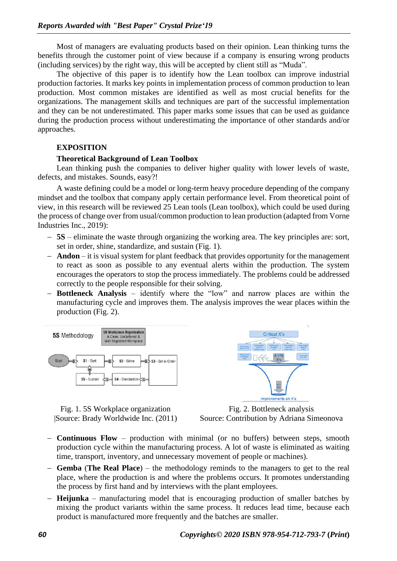Most of managers are evaluating products based on their opinion. Lean thinking turns the benefits through the customer point of view because if a company is ensuring wrong products (including services) by the right way, this will be accepted by client still as "Muda".

The objective of this paper is to identify how the Lean toolbox can improve industrial production factories. It marks key points in implementation process of common production to lean production. Most common mistakes are identified as well as most crucial benefits for the organizations. The management skills and techniques are part of the successful implementation and they can be not underestimated. This paper marks some issues that can be used as guidance during the production process without underestimating the importance of other standards and/or approaches.

# **EXPOSITION**

### **Theoretical Background of Lean Toolbox**

Lean thinking push the companies to deliver higher quality with lower levels of waste, defects, and mistakes. Sounds, easy?!

A waste defining could be a model or long-term heavy procedure depending of the company mindset and the toolbox that company apply certain performance level. From theoretical point of view, in this research will be reviewed 25 Lean tools (Lean toolbox), which could be used during the process of change over from usual/common production to lean production (adapted from Vorne Industries Inc., 2019):

- − **5S** eliminate the waste through organizing the working area. The key principles are: sort, set in order, shine, standardize, and sustain (Fig. 1).
- − **Andon** it is visual system for plant feedback that provides opportunity for the management to react as soon as possible to any eventual alerts within the production. The system encourages the operators to stop the process immediately. The problems could be addressed correctly to the people responsible for their solving.
- − **Bottleneck Analysis** identify where the "low" and narrow places are within the manufacturing cycle and improves them. The analysis improves the wear places within the production (Fig. 2).



Fig. 1. 5S Workplace organization |Source: Brady Worldwide Inc. (2011) Critical X

Fig. 2. Bottleneck analysis Source: Contribution by Adriana Simeonova

- − **Continuous Flow** production with minimal (or no buffers) between steps, smooth production cycle within the manufacturing process. A lot of waste is eliminated as waiting time, transport, inventory, and unnecessary movement of people or machines).
- − **Gemba** (**The Real Place**) the methodology reminds to the managers to get to the real place, where the production is and where the problems occurs. It promotes understanding the process by first hand and by interviews with the plant employees.
- − **Heijunka** manufacturing model that is encouraging production of smaller batches by mixing the product variants within the same process. It reduces lead time, because each product is manufactured more frequently and the batches are smaller.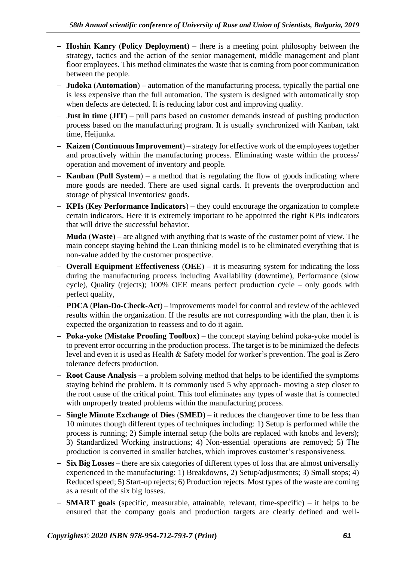- − **Hoshin Kanry** (**Policy Deployment**) there is a meeting point philosophy between the strategy, tactics and the action of the senior management, middle management and plant floor employees. This method eliminates the waste that is coming from poor communication between the people.
- − **Judoka** (**Automation**) automation of the manufacturing process, typically the partial one is less expensive than the full automation. The system is designed with automatically stop when defects are detected. It is reducing labor cost and improving quality.
- − **Just in time** (**JIT**) pull parts based on customer demands instead of pushing production process based on the manufacturing program. It is usually synchronized with Kanban, takt time, Heijunka.
- − **Kaizen** (**Continuous Improvement**) strategy for effective work of the employees together and proactively within the manufacturing process. Eliminating waste within the process/ operation and movement of inventory and people.
- − **Kanban** (**Pull System**) a method that is regulating the flow of goods indicating where more goods are needed. There are used signal cards. It prevents the overproduction and storage of physical inventories/ goods.
- − **KPIs** (**Key Performance Indicators**) they could encourage the organization to complete certain indicators. Here it is extremely important to be appointed the right KPIs indicators that will drive the successful behavior.
- − **Muda** (**Waste**) are aligned with anything that is waste of the customer point of view. The main concept staying behind the Lean thinking model is to be eliminated everything that is non-value added by the customer prospective.
- − **Overall Equipment Effectiveness** (**OEE**) it is measuring system for indicating the loss during the manufacturing process including Availability (downtime), Performance (slow cycle), Quality (rejects); 100% OEE means perfect production cycle – only goods with perfect quality,
- − **PDCA** (**Plan-Do-Check-Act**) improvements model for control and review of the achieved results within the organization. If the results are not corresponding with the plan, then it is expected the organization to reassess and to do it again.
- − **Poka-yoke** (**Mistake Proofing Toolbox**) the concept staying behind poka-yoke model is to prevent error occurring in the production process. The target is to be minimized the defects level and even it is used as Health & Safety model for worker's prevention. The goal is Zero tolerance defects production.
- − **Root Cause Analysis** a problem solving method that helps to be identified the symptoms staying behind the problem. It is commonly used 5 why approach- moving a step closer to the root cause of the critical point. This tool eliminates any types of waste that is connected with unproperly treated problems within the manufacturing process.
- − **Single Minute Exchange of Dies** (**SMED**) it reduces the changeover time to be less than 10 minutes though different types of techniques including: 1) Setup is performed while the process is running; 2) Simple internal setup (the bolts are replaced with knobs and levers); 3) Standardized Working instructions; 4) Non-essential operations are removed; 5) The production is converted in smaller batches, which improves customer's responsiveness.
- − **Six Big Losses** there are six categories of different types of loss that are almost universally experienced in the manufacturing: 1) Breakdowns, 2) Setup/adjustments; 3) Small stops; 4) Reduced speed; 5) Start-up rejects; 6) Production rejects. Most types of the waste are coming as a result of the six big losses.
- − **SMART goals** (specific, measurable, attainable, relevant, time-specific) it helps to be ensured that the company goals and production targets are clearly defined and well-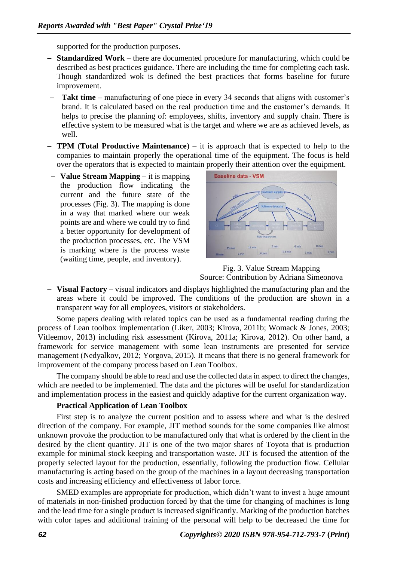supported for the production purposes.

- − **Standardized Work** there are documented procedure for manufacturing, which could be described as best practices guidance. There are including the time for completing each task. Though standardized wok is defined the best practices that forms baseline for future improvement.
- − **Takt time** manufacturing of one piece in every 34 seconds that aligns with customer's brand. It is calculated based on the real production time and the customer's demands. It helps to precise the planning of: employees, shifts, inventory and supply chain. There is effective system to be measured what is the target and where we are as achieved levels, as well.
- − **TPM** (**Total Productive Maintenance**) it is approach that is expected to help to the companies to maintain properly the operational time of the equipment. The focus is held over the operators that is expected to maintain properly their attention over the equipment.
- − **Value Stream Mapping** it is mapping the production flow indicating the current and the future state of the processes (Fig. 3). The mapping is done in a way that marked where our weak points are and where we could try to find a better opportunity for development of the production processes, etc. The VSM is marking where is the process waste (waiting time, people, and inventory).



Fig. 3. Value Stream Mapping Source: Contribution by Adriana Simeonova

− **Visual Factory** – visual indicators and displays highlighted the manufacturing plan and the areas where it could be improved. The conditions of the production are shown in a transparent way for all employees, visitors or stakeholders.

Some papers dealing with related topics can be used as a fundamental reading during the process of Lean toolbox implementation (Liker, 2003; Kirova, 2011b; Womack & Jones, 2003; Vitleemov, 2013) including risk assessment (Kirova, 2011a; Kirova, 2012). On other hand, a framework for service management with some lean instruments are presented for service management (Nedyalkov, 2012; Yorgova, 2015). It means that there is no general framework for improvement of the company process based on Lean Toolbox.

The company should be able to read and use the collected data in aspect to direct the changes, which are needed to be implemented. The data and the pictures will be useful for standardization and implementation process in the easiest and quickly adaptive for the current organization way.

# **Practical Application of Lean Toolbox**

First step is to analyze the current position and to assess where and what is the desired direction of the company. For example, JIT method sounds for the some companies like almost unknown provoke the production to be manufactured only that what is ordered by the client in the desired by the client quantity. JIT is one of the two major shares of Toyota that is production example for minimal stock keeping and transportation waste. JIT is focused the attention of the properly selected layout for the production, essentially, following the production flow. Cellular manufacturing is acting based on the group of the machines in a layout decreasing transportation costs and increasing efficiency and effectiveness of labor force.

SMED examples are appropriate for production, which didn't want to invest a huge amount of materials in non-finished production forced by that the time for changing of machines is long and the lead time for a single product is increased significantly. Marking of the production batches with color tapes and additional training of the personal will help to be decreased the time for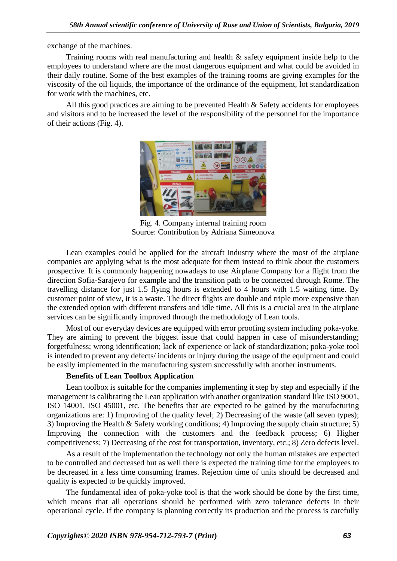exchange of the machines.

Training rooms with real manufacturing and health & safety equipment inside help to the employees to understand where are the most dangerous equipment and what could be avoided in their daily routine. Some of the best examples of the training rooms are giving examples for the viscosity of the oil liquids, the importance of the ordinance of the equipment, lot standardization for work with the machines, etc.

All this good practices are aiming to be prevented Health & Safety accidents for employees and visitors and to be increased the level of the responsibility of the personnel for the importance of their actions (Fig. 4).



Fig. 4. Company internal training room Source: Contribution by Adriana Simeonova

Lean examples could be applied for the aircraft industry where the most of the airplane companies are applying what is the most adequate for them instead to think about the customers prospective. It is commonly happening nowadays to use Airplane Company for a flight from the direction Sofia-Sarajevo for example and the transition path to be connected through Rome. The travelling distance for just 1.5 flying hours is extended to 4 hours with 1.5 waiting time. By customer point of view, it is a waste. The direct flights are double and triple more expensive than the extended option with different transfers and idle time. All this is a crucial area in the airplane services can be significantly improved through the methodology of Lean tools.

Most of our everyday devices are equipped with error proofing system including poka-yoke. They are aiming to prevent the biggest issue that could happen in case of misunderstanding; forgetfulness; wrong identification; lack of experience or lack of standardization; poka-yoke tool is intended to prevent any defects/ incidents or injury during the usage of the equipment and could be easily implemented in the manufacturing system successfully with another instruments.

# **Benefits of Lean Toolbox Application**

Lean toolbox is suitable for the companies implementing it step by step and especially if the management is calibrating the Lean application with another organization standard like ISO 9001, ISO 14001, ISO 45001, etc. The benefits that are expected to be gained by the manufacturing organizations are: 1) Improving of the quality level; 2) Decreasing of the waste (all seven types); 3) Improving the Health & Safety working conditions; 4) Improving the supply chain structure; 5) Improving the connection with the customers and the feedback process; 6) Higher competitiveness; 7) Decreasing of the cost for transportation, inventory, etc.; 8) Zero defects level.

As a result of the implementation the technology not only the human mistakes are expected to be controlled and decreased but as well there is expected the training time for the employees to be decreased in a less time consuming frames. Rejection time of units should be decreased and quality is expected to be quickly improved.

The fundamental idea of poka-yoke tool is that the work should be done by the first time, which means that all operations should be performed with zero tolerance defects in their operational cycle. If the company is planning correctly its production and the process is carefully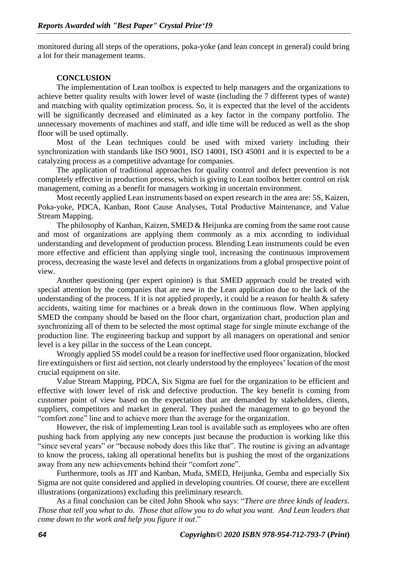monitored during all steps of the operations, poka-yoke (and lean concept in general) could bring a lot for their management teams.

## **CONCLUSION**

The implementation of Lean toolbox is expected to help managers and the organizations to achieve better quality results with lower level of waste (including the 7 different types of waste) and matching with quality optimization process. So, it is expected that the level of the accidents will be significantly decreased and eliminated as a key factor in the company portfolio. The unnecessary movements of machines and staff, and idle time will be reduced as well as the shop floor will be used optimally.

Most of the Lean techniques could be used with mixed variety including their synchronization with standards like ISO 9001, ISO 14001, ISO 45001 and it is expected to be a catalyzing process as a competitive advantage for companies.

The application of traditional approaches for quality control and defect prevention is not completely effective in production process, which is giving to Lean toolbox better control on risk management, coming as a benefit for managers working in uncertain environment.

Most recently applied Lean instruments based on expert research in the area are: 5S, Kaizen, Poka-yoke, PDCA, Kanban, Root Cause Analyses, Total Productive Maintenance, and Value Stream Mapping.

The philosophy of Kanban, Kaizen, SMED & Heijunka are coming from the same root cause and most of organizations are applying them commonly as a mix according to individual understanding and development of production process. Blending Lean instruments could be even more effective and efficient than applying single tool, increasing the continuous improvement process, decreasing the waste level and defects in organizations from a global prospective point of view.

Another questioning (per expert opinion) is that SMED approach could be treated with special attention by the companies that are new in the Lean application due to the lack of the understanding of the process. If it is not applied properly, it could be a reason for health  $\&$  safety accidents, waiting time for machines or a break down in the continuous flow. When applying SMED the company should be based on the floor chart, organization chart, production plan and synchronizing all of them to be selected the most optimal stage for single minute exchange of the production line. The engineering backup and support by all managers on operational and senior level is a key pillar in the success of the Lean concept.

Wrongly applied 5S model could be a reason for ineffective used floor organization, blocked fire extinguishers or first aid section, not clearly understood by the employees' location of the most crucial equipment on site.

Value Stream Mapping, PDCA, Six Sigma are fuel for the organization to be efficient and effective with lower level of risk and defective production. The key benefit is coming from customer point of view based on the expectation that are demanded by stakeholders, clients, suppliers, competitors and market in general. They pushed the management to go beyond the "comfort zone" line and to achieve more than the average for the organization.

However, the risk of implementing Lean tool is available such as employees who are often pushing back from applying any new concepts just because the production is working like this "since several years" or "because nobody does this like that". The routine is giving an advantage to know the process, taking all operational benefits but is pushing the most of the organizations away from any new achievements behind their "comfort zone".

Furthermore, tools as JIT and Kanban, Muda, SMED, Heijunka, Gemba and especially Six Sigma are not quite considered and applied in developing countries. Of course, there are excellent illustrations (organizations) excluding this preliminary research.

As a final conclusion can be cited John Shook who says: "*There are three kinds of leaders. Those that tell you what to do. Those that allow you to do what you want. And Lean leaders that come down to the work and help you figure it out*."